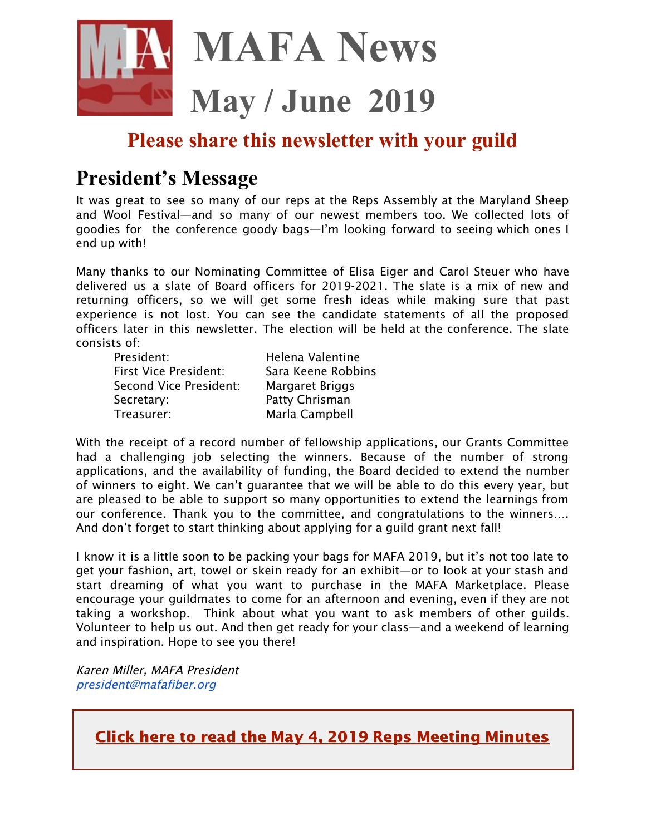

## **Please share this newsletter with your guild**

## **President's Message**

It was great to see so many of our reps at the Reps Assembly at the Maryland Sheep and Wool Festival—and so many of our newest members too. We collected lots of goodies for the conference goody bags—I'm looking forward to seeing which ones I end up with!

Many thanks to our Nominating Committee of Elisa Eiger and Carol Steuer who have delivered us a slate of Board officers for 2019-2021. The slate is a mix of new and returning officers, so we will get some fresh ideas while making sure that past experience is not lost. You can see the candidate statements of all the proposed officers later in this newsletter. The election will be held at the conference. The slate consists of:

| President:                   | Helena Valentine   |
|------------------------------|--------------------|
| <b>First Vice President:</b> | Sara Keene Robbins |
| Second Vice President:       | Margaret Briggs    |
| Secretary:                   | Patty Chrisman     |
| Treasurer:                   | Marla Campbell     |

With the receipt of a record number of fellowship applications, our Grants Committee had a challenging job selecting the winners. Because of the number of strong applications, and the availability of funding, the Board decided to extend the number of winners to eight. We can't guarantee that we will be able to do this every year, but are pleased to be able to support so many opportunities to extend the learnings from our conference. Thank you to the committee, and congratulations to the winners…. And don't forget to start thinking about applying for a guild grant next fall!

I know it is a little soon to be packing your bags for MAFA 2019, but it's not too late to get your fashion, art, towel or skein ready for an exhibit—or to look at your stash and start dreaming of what you want to purchase in the MAFA Marketplace. Please encourage your guildmates to come for an afternoon and evening, even if they are not taking a workshop. Think about what you want to ask members of other guilds. Volunteer to help us out. And then get ready for your class—and a weekend of learning and inspiration. Hope to see you there!

Karen Miller, MAFA President [president@mafafiber.org](mailto:president@mafafiber.org)

Click here to read the May 4, 2019 Reps [Meeting](https://mafafiber.org/wp-content/uploads/Reps-Meetings/MAFA-Representatives-Assembly-May-4-2019.pdf) Minutes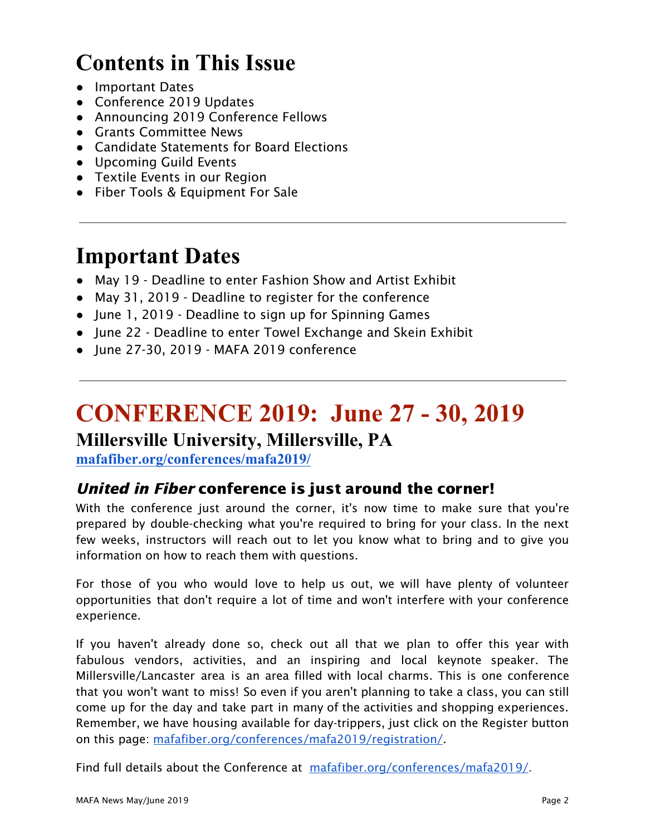# **Contents in This Issue**

- Important Dates
- Conference 2019 Updates
- Announcing 2019 Conference Fellows
- Grants Committee News
- Candidate Statements for Board Elections
- Upcoming Guild Events
- Textile Events in our Region
- Fiber Tools & Equipment For Sale

## **Important Dates**

- May 19 Deadline to enter Fashion Show and Artist Exhibit
- May 31, 2019 Deadline to register for the conference
- June 1, 2019 Deadline to sign up for Spinning Games
- June 22 Deadline to enter Towel Exchange and Skein Exhibit
- June 27-30, 2019 MAFA 2019 conference

# **CONFERENCE 2019: June 27 - 30, 2019**

## **Millersville University, Millersville, PA**

**[mafafiber.org/conferences/mafa2019/](https://mafafiber.org/conferences/mafa2019/)**

## United in Fiber conference is just around the corner!

With the conference just around the corner, it's now time to make sure that you're prepared by double-checking what you're required to bring for your class. In the next few weeks, instructors will reach out to let you know what to bring and to give you information on how to reach them with questions.

For those of you who would love to help us out, we will have plenty of volunteer opportunities that don't require a lot of time and won't interfere with your conference experience.

If you haven't already done so, check out all that we plan to offer this year with fabulous vendors, activities, and an inspiring and local keynote speaker. The Millersville/Lancaster area is an area filled with local charms. This is one conference that you won't want to miss! So even if you aren't planning to take a class, you can still come up for the day and take part in many of the activities and shopping experiences. Remember, we have housing available for day-trippers, just click on the Register button on this page: [mafafiber.org/conferences/mafa2019/registration/.](https://mafafiber.org/conferences/mafa2019/registration/)

Find full details about the Conference at [mafafiber.org/conferences/mafa2019/.](https://mafafiber.org/conferences/mafa2019/)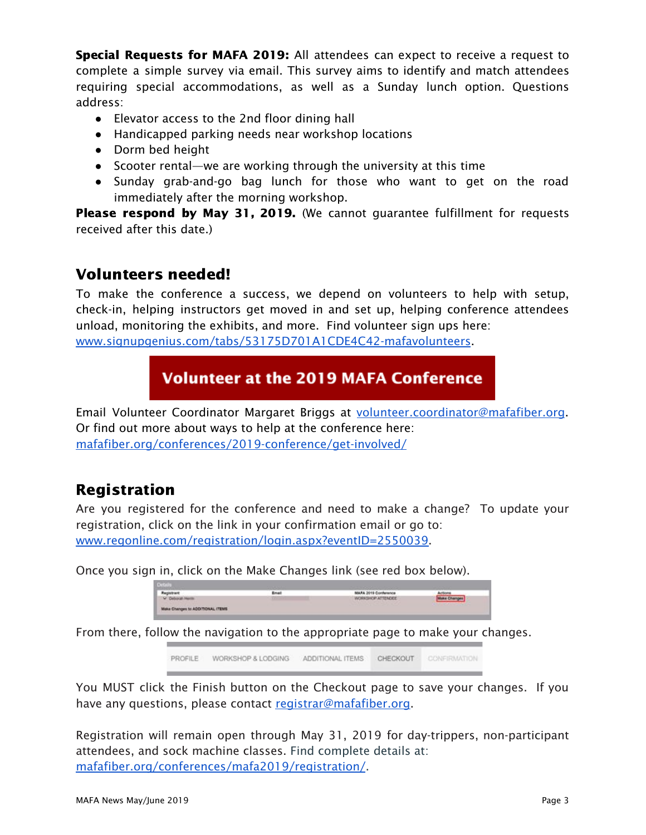Special Requests for MAFA 2019: All attendees can expect to receive a request to complete a simple survey via email. This survey aims to identify and match attendees requiring special accommodations, as well as a Sunday lunch option. Questions address:

- Elevator access to the 2nd floor dining hall
- Handicapped parking needs near workshop locations
- Dorm bed height
- Scooter rental—we are working through the university at this time
- Sunday grab-and-go bag lunch for those who want to get on the road immediately after the morning workshop.

Please respond by May 31, 2019. (We cannot guarantee fulfillment for requests received after this date.)

### Volunteers needed!

To make the conference a success, we depend on volunteers to help with setup, check-in, helping instructors get moved in and set up, helping conference attendees unload, monitoring the exhibits, and more. Find volunteer sign ups here: [www.signupgenius.com/tabs/53175D701A1CDE4C42-mafavolunteers](http://www.signupgenius.com/tabs/53175D701A1CDE4C42-mafavolunteers).

## **Volunteer at the 2019 MAFA Conference**

Email Volunteer Coordinator Margaret Briggs at [volunteer.coordinator@mafafiber.org.](mailto:volunteer.coordinator@mafafiber.org) Or find out more about ways to help at the conference here: [mafafiber.org/conferences/2019-conference/get-involved/](https://mafafiber.org/conferences/2019-conference/get-involved/)

## Registration

Are you registered for the conference and need to make a change? To update your registration, click on the link in your confirmation email or go to: [www.regonline.com/registration/login.aspx?eventID=2550039](https://www.regonline.com/registration/login.aspx?eventID=2550039).

Once you sign in, click on the Make Changes link (see red box below).

| the contract of the contract of the contract of the contract of the contract of the contract of the contract of the contract of the contract of the contract of the contract of the contract of the contract of the contract o |                                 |
|--------------------------------------------------------------------------------------------------------------------------------------------------------------------------------------------------------------------------------|---------------------------------|
| MARA 2019 Contenence                                                                                                                                                                                                           | <b>Actions</b>                  |
| WORKSHOP ATTENDEE                                                                                                                                                                                                              |                                 |
|                                                                                                                                                                                                                                | the first property and the con- |
|                                                                                                                                                                                                                                |                                 |

From there, follow the navigation to the appropriate page to make your changes.

PROFILE WORKSHOP & LODGING ADDITIONAL ITEMS **CHECKOUT** CONFIRMATION

You MUST click the Finish button on the Checkout page to save your changes. If you have any questions, please contact [registrar@mafafiber.org.](mailto:registrar@mafafiber.org)

Registration will remain open through May 31, 2019 for day-trippers, non-participant attendees, and sock machine classes. Find complete details at: [mafafiber.org/conferences/mafa2019/registration/](https://mafafiber.org/conferences/mafa2019/registration/).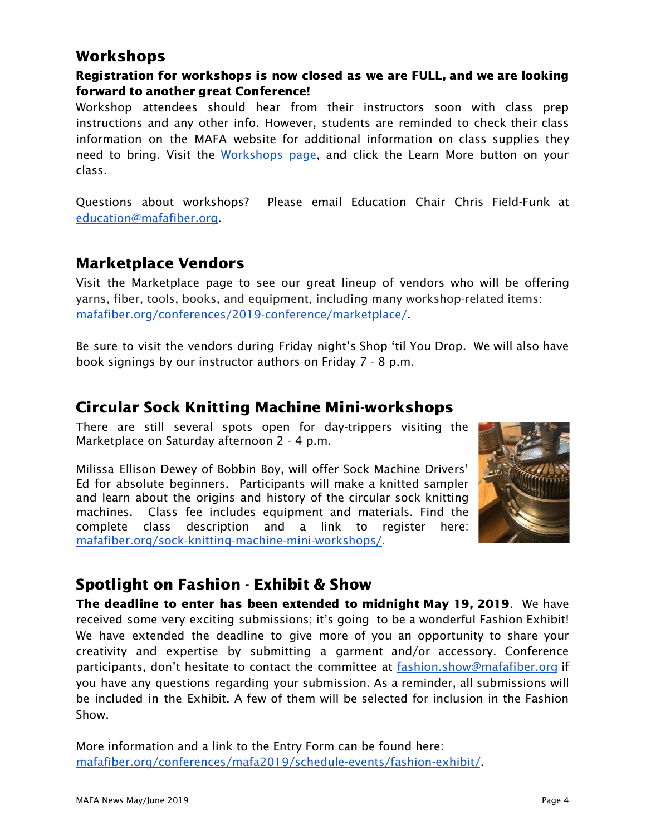## Workshops

#### Registration for workshops is now closed as we are FULL, and we are looking forward to another great Conference!

Workshop attendees should hear from their instructors soon with class prep instructions and any other info. However, students are reminded to check their class information on the MAFA website for additional information on class supplies they need to bring. Visit the [Workshops](https://mafafiber.org/conference_year/2019/) page, and click the Learn More button on your class.

Questions about workshops? Please email Education Chair Chris Field-Funk at [education@mafafiber.org.](mailto:education@mafafiber.org)

### Marketplace Vendors

Visit the Marketplace page to see our great lineup of vendors who will be offering yarns, fiber, tools, books, and equipment, including many workshop-related items: [mafafiber.org/conferences/2019-conference/marketplace/](https://mafafiber.org/conferences/2019-conference/marketplace/).

Be sure to visit the vendors during Friday night's Shop 'til You Drop. We will also have book signings by our instructor authors on Friday 7 - 8 p.m.

## Circular Sock Knitting Machine Mini-workshops

There are still several spots open for day-trippers visiting the Marketplace on Saturday afternoon 2 - 4 p.m.

Milissa Ellison Dewey of Bobbin Boy, will offer Sock Machine Drivers' Ed for absolute beginners. Participants will make a knitted sampler and learn about the origins and history of the circular sock knitting machines. Class fee includes equipment and materials. Find the complete class description and a link to register here: [mafafiber.org/sock-knitting-machine-mini-workshops/](https://mafafiber.org/sock-knitting-machine-mini-workshops/).



## Spotlight on Fashion - Exhibit & Show

The deadline to enter has been extended to midnight May 19, 2019. We have received some very exciting submissions; it's going to be a wonderful Fashion Exhibit! We have extended the deadline to give more of you an opportunity to share your creativity and expertise by submitting a garment and/or accessory. Conference participants, don't hesitate to contact the committee at [fashion.show@mafafiber.org](mailto:fashion.show@mafafiber.org) if you have any questions regarding your submission. As a reminder, all submissions will be included in the Exhibit. A few of them will be selected for inclusion in the Fashion Show.

More information and a link to the Entry Form can be found here: [mafafiber.org/conferences/mafa2019/schedule-events/fashion-exhibit/](https://mafafiber.org/conferences/mafa2019/schedule-events/fashion-exhibit/).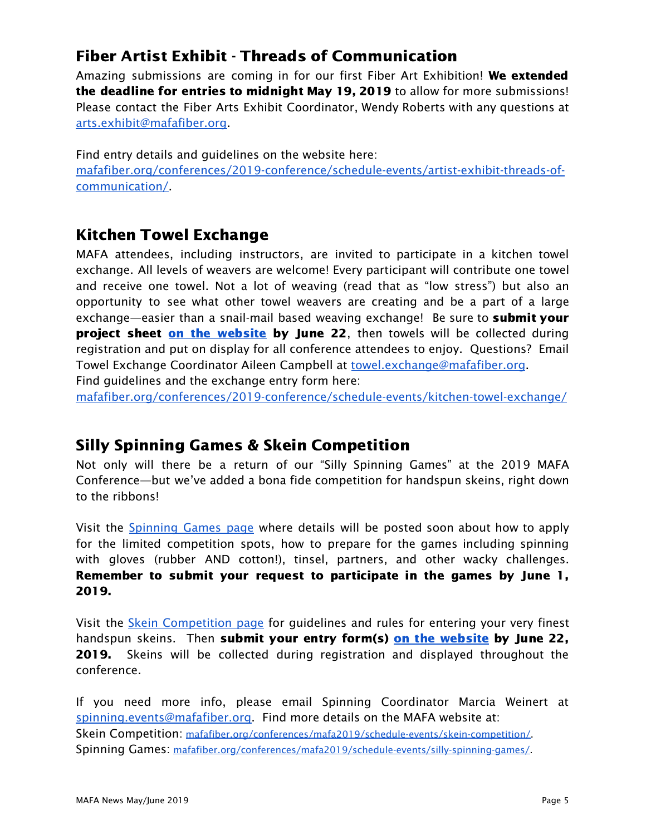## Fiber Artist Exhibit - Threads of Communication

Amazing submissions are coming in for our first Fiber Art Exhibition! We extended the deadline for entries to midnight May 19, 2019 to allow for more submissions! Please contact the Fiber Arts Exhibit Coordinator, Wendy Roberts with any questions at [arts.exhibit@mafafiber.org](mailto:arts.exhibit@mafafiber.org).

Find entry details and guidelines on the website here: [mafafiber.org/conferences/2019-conference/schedule-events/artist-exhibit-threads-of](https://mafafiber.org/conferences/2019-conference/schedule-events/artist-exhibit-threads-of-communication/)[communication/.](https://mafafiber.org/conferences/2019-conference/schedule-events/artist-exhibit-threads-of-communication/)

## Kitchen Towel Exchange

MAFA attendees, including instructors, are invited to participate in a kitchen towel exchange. All levels of weavers are welcome! Every participant will contribute one towel and receive one towel. Not a lot of weaving (read that as "low stress") but also an opportunity to see what other towel weavers are creating and be a part of a large exchange—easier than a snail-mail based weaving exchange! Be sure to **submit your** project sheet on the [website](https://mafafiber.org/conferences/2019-conference/schedule-events/kitchen-towel-exchange/) by June 22, then towels will be collected during registration and put on display for all conference attendees to enjoy. Questions? Email Towel Exchange Coordinator Aileen Campbell at [towel.exchange@mafafiber.org](mailto:towel.exchange@mafafiber.org).

Find guidelines and the exchange entry form here:

[mafafiber.org/conferences/2019-conference/schedule-events/kitchen-towel-exchange/](https://mafafiber.org/conferences/2019-conference/schedule-events/kitchen-towel-exchange/)

## Silly Spinning Games & Skein Competition

Not only will there be a return of our "Silly Spinning Games" at the 2019 MAFA Conference—but we've added a bona fide competition for handspun skeins, right down to the ribbons!

Visit the [Spinning](https://mafafiber.org/conferences/2019-conference/schedule-events/silly-spinning-games/) Games page where details will be posted soon about how to apply for the limited competition spots, how to prepare for the games including spinning with gloves (rubber AND cotton!), tinsel, partners, and other wacky challenges. Remember to submit your request to participate in the games by June 1, 2019.

Visit the Skein [Competition](https://mafafiber.org/conferences/mafa2019/schedule-events/skein-competition/) page for guidelines and rules for entering your very finest handspun skeins. Then submit your entry form(s) on the [website](https://mafafiber.org/conferences/mafa2019/schedule-events/silly-spinning-games/) by June 22, 2019. Skeins will be collected during registration and displayed throughout the conference.

If you need more info, please email Spinning Coordinator Marcia Weinert at [spinning.events@mafafiber.org](mailto:spinning.events@mafafiber.org). Find more details on the MAFA website at: Skein Competition: [mafafiber.org/conferences/mafa2019/schedule-events/skein-competition/.](https://mafafiber.org/conferences/mafa2019/schedule-events/skein-competition/) Spinning Games: [mafafiber.org/conferences/mafa2019/schedule-events/silly-spinning-games/](https://mafafiber.org/conferences/mafa2019/schedule-events/silly-spinning-games/).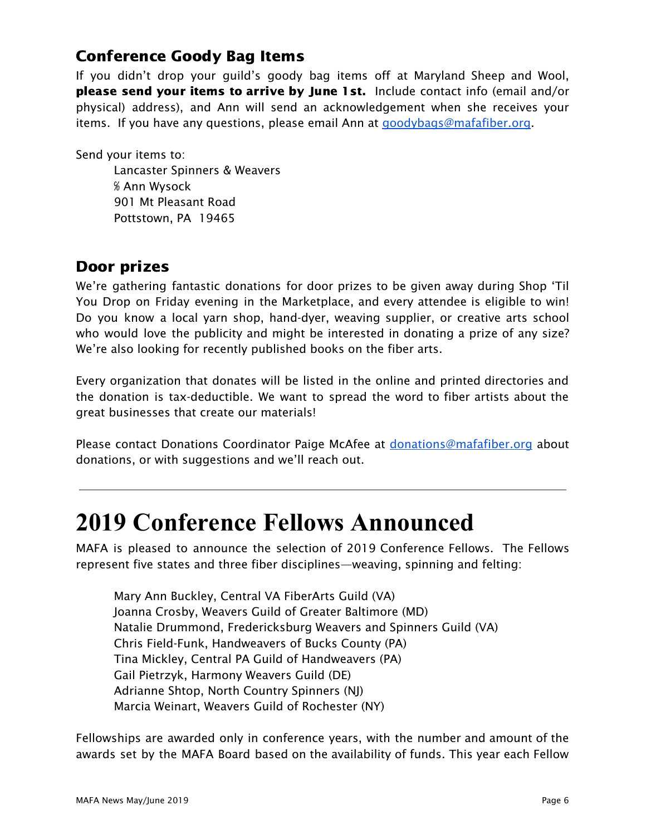## Conference Goody Bag Items

If you didn't drop your guild's goody bag items off at Maryland Sheep and Wool, please send your items to arrive by June 1st. Include contact info (email and/or physical) address), and Ann will send an acknowledgement when she receives your items. If you have any questions, please email Ann at [goodybags@mafafiber.org](mailto:goodybags@mafafiber.org).

Send your items to:

Lancaster Spinners & Weavers ℅ Ann Wysock 901 Mt Pleasant Road Pottstown, PA 19465

## Door prizes

We're gathering fantastic donations for door prizes to be given away during Shop 'Til You Drop on Friday evening in the Marketplace, and every attendee is eligible to win! Do you know a local yarn shop, hand-dyer, weaving supplier, or creative arts school who would love the publicity and might be interested in donating a prize of any size? We're also looking for recently published books on the fiber arts.

Every organization that donates will be listed in the online and printed directories and the donation is tax-deductible. We want to spread the word to fiber artists about the great businesses that create our materials!

Please contact Donations Coordinator Paige McAfee at [donations@mafafiber.org](mailto:donations@mafafiber.org) about donations, or with suggestions and we'll reach out.

# **2019 Conference Fellows Announced**

MAFA is pleased to announce the selection of 2019 Conference Fellows. The Fellows represent five states and three fiber disciplines—weaving, spinning and felting:

Mary Ann Buckley, Central VA FiberArts Guild (VA) Joanna Crosby, Weavers Guild of Greater Baltimore (MD) Natalie Drummond, Fredericksburg Weavers and Spinners Guild (VA) Chris Field-Funk, Handweavers of Bucks County (PA) Tina Mickley, Central PA Guild of Handweavers (PA) Gail Pietrzyk, Harmony Weavers Guild (DE) Adrianne Shtop, North Country Spinners (NJ) Marcia Weinart, Weavers Guild of Rochester (NY)

Fellowships are awarded only in conference years, with the number and amount of the awards set by the MAFA Board based on the availability of funds. This year each Fellow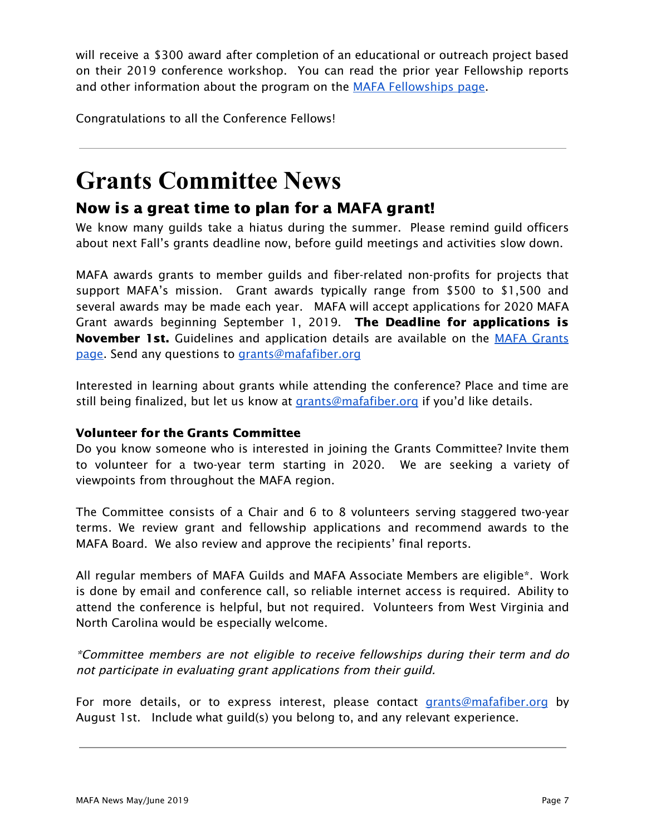will receive a \$300 award after completion of an educational or outreach project based on their 2019 conference workshop. You can read the prior year Fellowship reports and other information about the program on the MAFA [Fellowships](https://mafafiber.org/grants/fellowships/) page.

Congratulations to all the Conference Fellows!

# **Grants Committee News**

## Now is a great time to plan for a MAFA grant!

We know many guilds take a hiatus during the summer. Please remind guild officers about next Fall's grants deadline now, before guild meetings and activities slow down.

MAFA awards grants to member guilds and fiber-related non-profits for projects that support MAFA's mission. Grant awards typically range from \$500 to \$1,500 and several awards may be made each year. MAFA will accept applications for 2020 MAFA Grant awards beginning September 1, 2019. The Deadline for applications is November 1st. Guidelines and application details are available on the MAFA [Grants](https://mafafiber.org/grants/guild-grants/) [page.](https://mafafiber.org/grants/guild-grants/) Send any questions to [grants@mafafiber.org](mailto:grants@mafafiber.org)

Interested in learning about grants while attending the conference? Place and time are still being finalized, but let us know at [grants@mafafiber.org](mailto:grants@mafafiber.org) if you'd like details.

#### Volunteer for the Grants Committee

Do you know someone who is interested in joining the Grants Committee? Invite them to volunteer for a two-year term starting in 2020. We are seeking a variety of viewpoints from throughout the MAFA region.

The Committee consists of a Chair and 6 to 8 volunteers serving staggered two-year terms. We review grant and fellowship applications and recommend awards to the MAFA Board. We also review and approve the recipients' final reports.

All regular members of MAFA Guilds and MAFA Associate Members are eligible\*. Work is done by email and conference call, so reliable internet access is required. Ability to attend the conference is helpful, but not required. Volunteers from West Virginia and North Carolina would be especially welcome.

\*Committee members are not eligible to receive fellowships during their term and do not participate in evaluating grant applications from their guild.

For more details, or to express interest, please contact [grants@mafafiber.org](mailto:grants@mafafiber.org) by August 1st. Include what guild(s) you belong to, and any relevant experience.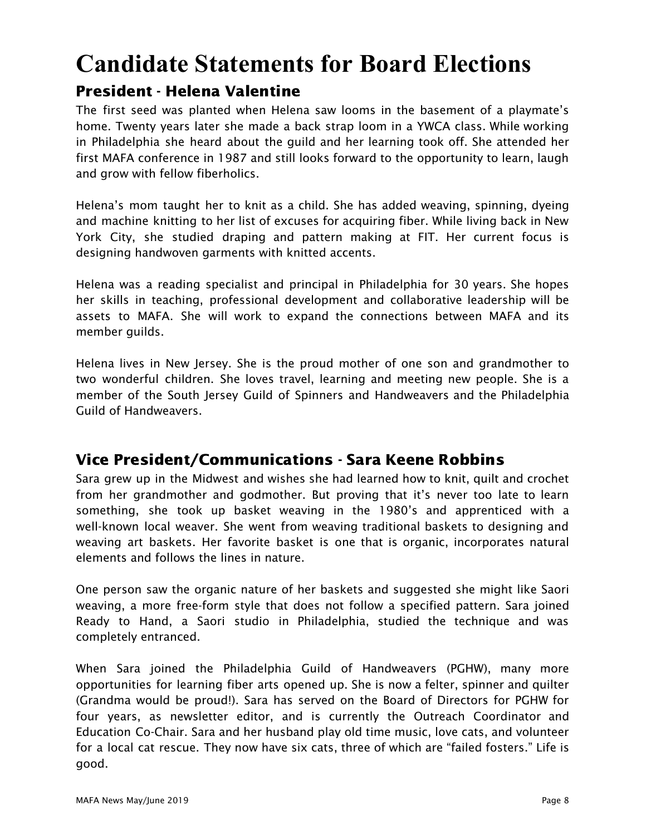# **Candidate Statements for Board Elections**

## President - Helena Valentine

The first seed was planted when Helena saw looms in the basement of a playmate's home. Twenty years later she made a back strap loom in a YWCA class. While working in Philadelphia she heard about the guild and her learning took off. She attended her first MAFA conference in 1987 and still looks forward to the opportunity to learn, laugh and grow with fellow fiberholics.

Helena's mom taught her to knit as a child. She has added weaving, spinning, dyeing and machine knitting to her list of excuses for acquiring fiber. While living back in New York City, she studied draping and pattern making at FIT. Her current focus is designing handwoven garments with knitted accents.

Helena was a reading specialist and principal in Philadelphia for 30 years. She hopes her skills in teaching, professional development and collaborative leadership will be assets to MAFA. She will work to expand the connections between MAFA and its member guilds.

Helena lives in New Jersey. She is the proud mother of one son and grandmother to two wonderful children. She loves travel, learning and meeting new people. She is a member of the South Jersey Guild of Spinners and Handweavers and the Philadelphia Guild of Handweavers.

## Vice President/Communications - Sara Keene Robbins

Sara grew up in the Midwest and wishes she had learned how to knit, quilt and crochet from her grandmother and godmother. But proving that it's never too late to learn something, she took up basket weaving in the 1980's and apprenticed with a well-known local weaver. She went from weaving traditional baskets to designing and weaving art baskets. Her favorite basket is one that is organic, incorporates natural elements and follows the lines in nature.

One person saw the organic nature of her baskets and suggested she might like Saori weaving, a more free-form style that does not follow a specified pattern. Sara joined Ready to Hand, a Saori studio in Philadelphia, studied the technique and was completely entranced.

When Sara joined the Philadelphia Guild of Handweavers (PGHW), many more opportunities for learning fiber arts opened up. She is now a felter, spinner and quilter (Grandma would be proud!). Sara has served on the Board of Directors for PGHW for four years, as newsletter editor, and is currently the Outreach Coordinator and Education Co-Chair. Sara and her husband play old time music, love cats, and volunteer for a local cat rescue. They now have six cats, three of which are "failed fosters." Life is good.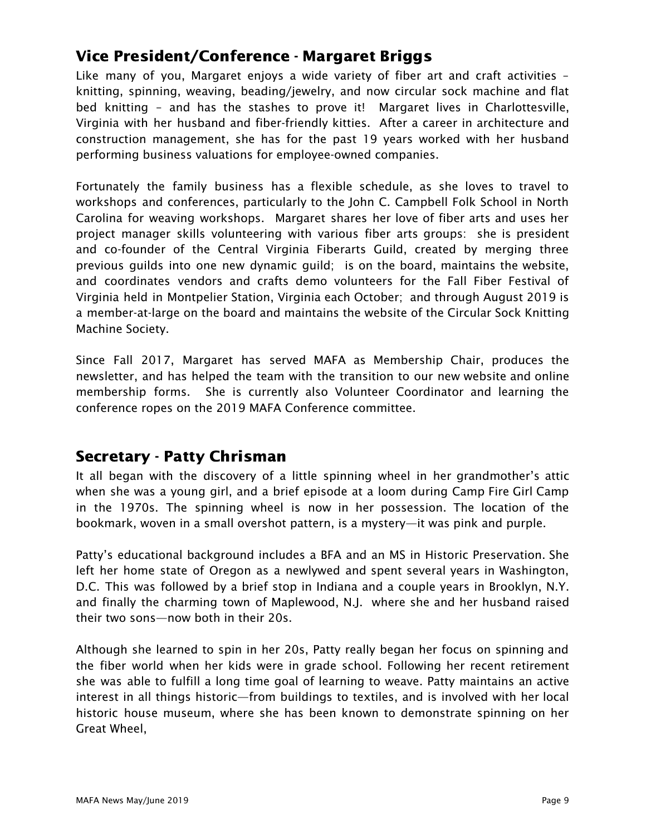## Vice President/Conference - Margaret Briggs

Like many of you, Margaret enjoys a wide variety of fiber art and craft activities – knitting, spinning, weaving, beading/jewelry, and now circular sock machine and flat bed knitting – and has the stashes to prove it! Margaret lives in Charlottesville, Virginia with her husband and fiber-friendly kitties. After a career in architecture and construction management, she has for the past 19 years worked with her husband performing business valuations for employee-owned companies.

Fortunately the family business has a flexible schedule, as she loves to travel to workshops and conferences, particularly to the John C. Campbell Folk School in North Carolina for weaving workshops. Margaret shares her love of fiber arts and uses her project manager skills volunteering with various fiber arts groups: she is president and co-founder of the Central Virginia Fiberarts Guild, created by merging three previous guilds into one new dynamic guild; is on the board, maintains the website, and coordinates vendors and crafts demo volunteers for the Fall Fiber Festival of Virginia held in Montpelier Station, Virginia each October; and through August 2019 is a member-at-large on the board and maintains the website of the Circular Sock Knitting Machine Society.

Since Fall 2017, Margaret has served MAFA as Membership Chair, produces the newsletter, and has helped the team with the transition to our new website and online membership forms. She is currently also Volunteer Coordinator and learning the conference ropes on the 2019 MAFA Conference committee.

### Secretary - Patty Chrisman

It all began with the discovery of a little spinning wheel in her grandmother's attic when she was a young girl, and a brief episode at a loom during Camp Fire Girl Camp in the 1970s. The spinning wheel is now in her possession. The location of the bookmark, woven in a small overshot pattern, is a mystery—it was pink and purple.

Patty's educational background includes a BFA and an MS in Historic Preservation. She left her home state of Oregon as a newlywed and spent several years in Washington, D.C. This was followed by a brief stop in Indiana and a couple years in Brooklyn, N.Y. and finally the charming town of Maplewood, N.J. where she and her husband raised their two sons—now both in their 20s.

Although she learned to spin in her 20s, Patty really began her focus on spinning and the fiber world when her kids were in grade school. Following her recent retirement she was able to fulfill a long time goal of learning to weave. Patty maintains an active interest in all things historic—from buildings to textiles, and is involved with her local historic house museum, where she has been known to demonstrate spinning on her Great Wheel,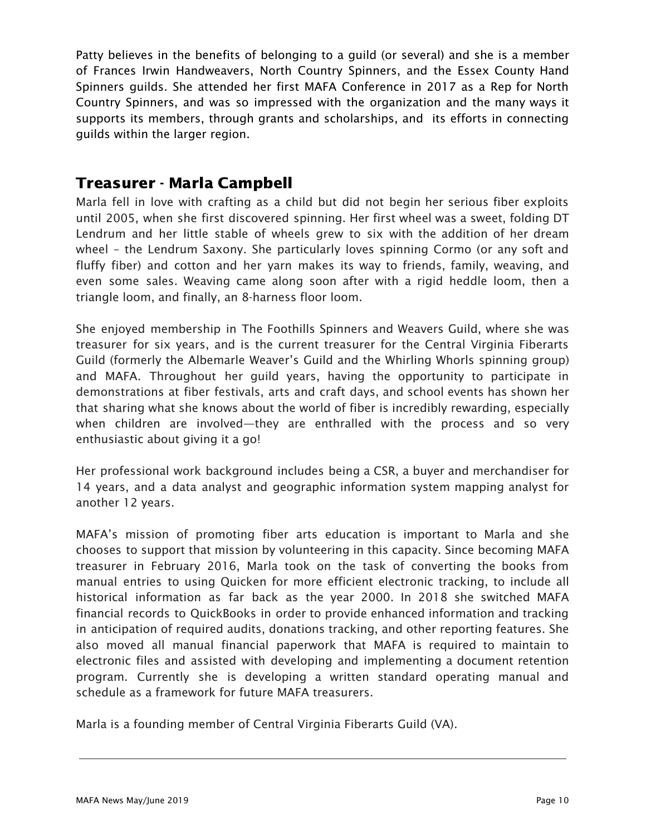Patty believes in the benefits of belonging to a guild (or several) and she is a member of Frances Irwin Handweavers, North Country Spinners, and the Essex County Hand Spinners guilds. She attended her first MAFA Conference in 2017 as a Rep for North Country Spinners, and was so impressed with the organization and the many ways it supports its members, through grants and scholarships, and its efforts in connecting guilds within the larger region.

### Treasurer - Marla Campbell

Marla fell in love with crafting as a child but did not begin her serious fiber exploits until 2005, when she first discovered spinning. Her first wheel was a sweet, folding DT Lendrum and her little stable of wheels grew to six with the addition of her dream wheel – the Lendrum Saxony. She particularly loves spinning Cormo (or any soft and fluffy fiber) and cotton and her yarn makes its way to friends, family, weaving, and even some sales. Weaving came along soon after with a rigid heddle loom, then a triangle loom, and finally, an 8-harness floor loom.

She enjoyed membership in The Foothills Spinners and Weavers Guild, where she was treasurer for six years, and is the current treasurer for the Central Virginia Fiberarts Guild (formerly the Albemarle Weaver's Guild and the Whirling Whorls spinning group) and MAFA. Throughout her guild years, having the opportunity to participate in demonstrations at fiber festivals, arts and craft days, and school events has shown her that sharing what she knows about the world of fiber is incredibly rewarding, especially when children are involved—they are enthralled with the process and so very enthusiastic about giving it a go!

Her professional work background includes being a CSR, a buyer and merchandiser for 14 years, and a data analyst and geographic information system mapping analyst for another 12 years.

MAFA's mission of promoting fiber arts education is important to Marla and she chooses to support that mission by volunteering in this capacity. Since becoming MAFA treasurer in February 2016, Marla took on the task of converting the books from manual entries to using Quicken for more efficient electronic tracking, to include all historical information as far back as the year 2000. In 2018 she switched MAFA financial records to QuickBooks in order to provide enhanced information and tracking in anticipation of required audits, donations tracking, and other reporting features. She also moved all manual financial paperwork that MAFA is required to maintain to electronic files and assisted with developing and implementing a document retention program. Currently she is developing a written standard operating manual and schedule as a framework for future MAFA treasurers.

Marla is a founding member of Central Virginia Fiberarts Guild (VA).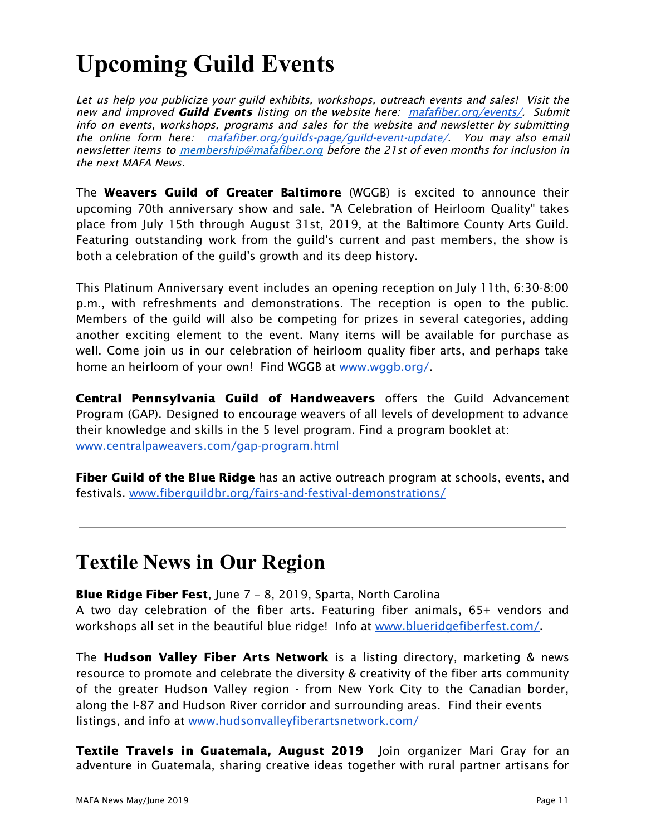# **Upcoming Guild Events**

Let us help you publicize your quild exhibits, workshops, outreach events and sales! Visit the new and improved **Guild Events** listing on the website here: [mafafiber.org/events/](https://mafafiber.org/events/). Submit info on events, workshops, programs and sales for the website and newsletter by submitting the online form here: [mafafiber.org/guilds-page/guild-event-update/](https://mafafiber.org/guilds-page/guild-event-update/). You may also email newsletter items to [membership@mafafiber.org](mailto:membership@mafafiber.org) before the 21st of even months for inclusion in the next MAFA News.

The **Weavers Guild of Greater Baltimore** (WGGB) is excited to announce their upcoming 70th anniversary show and sale. "A Celebration of Heirloom Quality" takes place from July 15th through August 31st, 2019, at the Baltimore County Arts Guild. Featuring outstanding work from the guild's current and past members, the show is both a celebration of the guild's growth and its deep history.

This Platinum Anniversary event includes an opening reception on July 11th, 6:30-8:00 p.m., with refreshments and demonstrations. The reception is open to the public. Members of the guild will also be competing for prizes in several categories, adding another exciting element to the event. Many items will be available for purchase as well. Come join us in our celebration of heirloom quality fiber arts, and perhaps take home an heirloom of your own! Find WGGB at [www.wggb.org/.](https://www.wggb.org/)

Central Pennsylvania Guild of Handweavers offers the Guild Advancement Program (GAP). Designed to encourage weavers of all levels of development to advance their knowledge and skills in the 5 level program. Find a program booklet at: [www.centralpaweavers.com/gap-program.html](http://www.centralpaweavers.com/gap-program.html)

**Fiber Guild of the Blue Ridge** has an active outreach program at schools, events, and festivals. [www.fiberguildbr.org/fairs-and-festival-demonstrations/](https://www.fiberguildbr.org/fairs-and-festival-demonstrations/)

## **Textile News in Our Region**

Blue Ridge Fiber Fest, June 7 – 8, 2019, Sparta, North Carolina A two day celebration of the fiber arts. Featuring fiber animals, 65+ vendors and workshops all set in the beautiful blue ridge! Info at [www.blueridgefiberfest.com/.](https://www.blueridgefiberfest.com/)

The **Hudson Valley Fiber Arts Network** is a listing directory, marketing & news resource to promote and celebrate the diversity & creativity of the fiber arts community of the greater Hudson Valley region - from New York City to the Canadian border, along the I-87 and Hudson River corridor and surrounding areas. Find their events listings, and info at [www.hudsonvalleyfiberartsnetwork.com/](http://www.hudsonvalleyfiberartsnetwork.com/)

Textile Travels in Guatemala, August 2019 Join organizer Mari Gray for an adventure in Guatemala, sharing creative ideas together with rural partner artisans for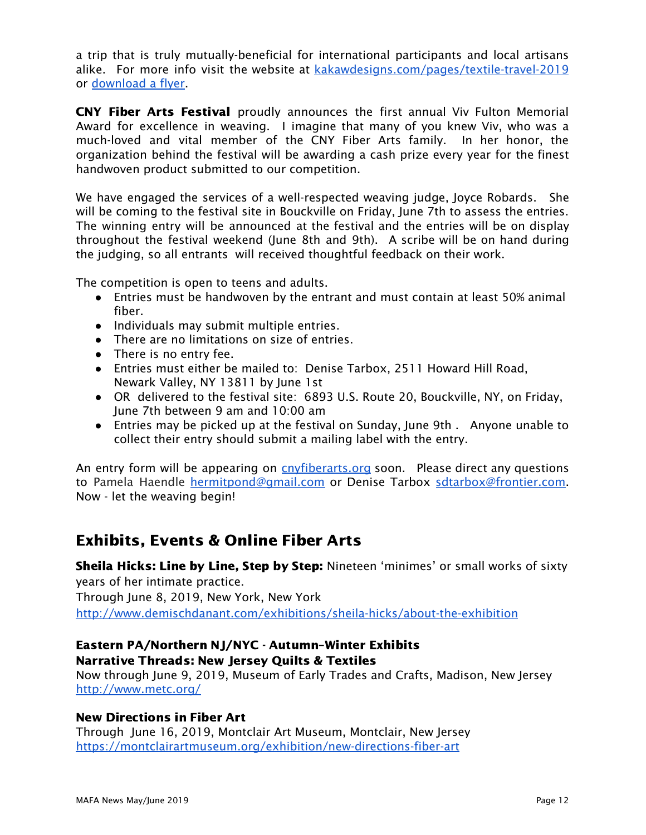a trip that is truly mutually-beneficial for international participants and local artisans alike. For more info visit the website at [kakawdesigns.com/pages/textile-travel-2019](https://kakawdesigns.com/pages/textile-travel-2019) or [download](https://mafafiber.org/wp-content/uploads/2019/03/Textile-Travels-Guatemala-2019-info.pdf) a flyer.

CNY Fiber Arts Festival proudly announces the first annual Viv Fulton Memorial Award for excellence in weaving. I imagine that many of you knew Viv, who was a much-loved and vital member of the CNY Fiber Arts family. In her honor, the organization behind the festival will be awarding a cash prize every year for the finest handwoven product submitted to our competition.

We have engaged the services of a well-respected weaving judge, Joyce Robards. She will be coming to the festival site in Bouckville on Friday, June 7th to assess the entries. The winning entry will be announced at the festival and the entries will be on display throughout the festival weekend (June 8th and 9th). A scribe will be on hand during the judging, so all entrants will received thoughtful feedback on their work.

The competition is open to teens and adults.

- Entries must be handwoven by the entrant and must contain at least 50% animal fiber.
- Individuals may submit multiple entries.
- There are no limitations on size of entries.
- There is no entry fee.
- Entries must either be mailed to: Denise Tarbox, 2511 Howard Hill Road, Newark Valley, NY 13811 by June 1st
- OR delivered to the festival site: 6893 U.S. Route 20, Bouckville, NY, on Friday, June 7th between 9 am and 10:00 am
- Entries may be picked up at the festival on Sunday, June 9th . Anyone unable to collect their entry should submit a mailing label with the entry.

An entry form will be appearing on *[cnyfiberarts.org](http://cnyfiberarts.org/index.php)* soon. Please direct any questions to Pamela Haendle [hermitpond@gmail.com](mailto:hermitpond@gmail.com) or Denise Tarbox [sdtarbox@frontier.com](mailto:sdtarbox@frontier.com). Now - let the weaving begin!

## Exhibits, Events & Online Fiber Arts

Sheila Hicks: Line by Line, Step by Step: Nineteen 'minimes' or small works of sixty years of her intimate practice.

Through June 8, 2019, New York, New York <http://www.demischdanant.com/exhibitions/sheila-hicks/about-the-exhibition>

### Eastern PA/Northern NJ/NYC - Autumn–Winter Exhibits

Narrative Threads: New Jersey Quilts & Textiles

Now through June 9, 2019, Museum of Early Trades and Crafts, Madison, New Jersey <http://www.metc.org/>

#### New Directions in Fiber Art

Through June 16, 2019, Montclair Art Museum, Montclair, New Jersey <https://montclairartmuseum.org/exhibition/new-directions-fiber-art>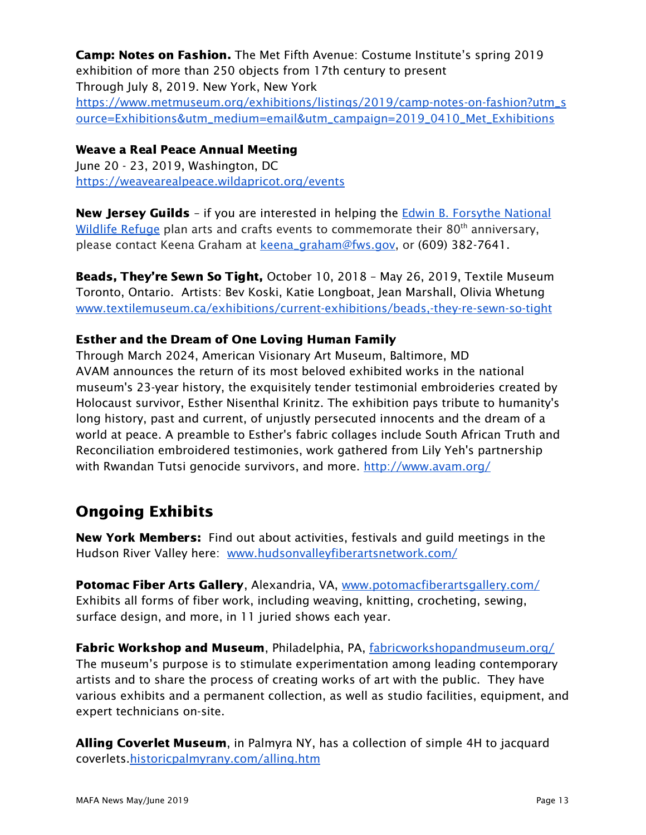Camp: Notes on Fashion. The Met Fifth Avenue: Costume Institute's spring 2019 exhibition of more than 250 objects from 17th century to present Through July 8, 2019. New York, New York [https://www.metmuseum.org/exhibitions/listings/2019/camp-notes-on-fashion?utm\\_s](https://www.metmuseum.org/exhibitions/listings/2019/camp-notes-on-fashion?utm_source=Exhibitions&utm_medium=email&utm_campaign=2019_0410_Met_Exhibitions) [ource=Exhibitions&utm\\_medium=email&utm\\_campaign=2019\\_0410\\_Met\\_Exhibitions](https://www.metmuseum.org/exhibitions/listings/2019/camp-notes-on-fashion?utm_source=Exhibitions&utm_medium=email&utm_campaign=2019_0410_Met_Exhibitions)

#### Weave a Real Peace Annual Meeting

June 20 - 23, 2019, Washington, DC <https://weavearealpeace.wildapricot.org/events>

N[e](https://www.fws.gov/refuge/edwin_b_forsythe/)w Jersey Guilds - if you are interested in helping the **Edwin B. [Forsythe](https://www.fws.gov/refuge/edwin_b_forsythe/) National** [Wildlife](https://www.fws.gov/refuge/edwin_b_forsythe/) Refuge plan arts and crafts events to commemorate their 80<sup>th</sup> anniversary, please contact Keena Graham at [keena\\_graham@fws.gov,](mailto:keena_graham@fws.gov) or (609) 382-7641.

Beads, They're Sewn So Tight, October 10, 2018 - May 26, 2019, Textile Museum Toronto, Ontario. Artists: Bev Koski, Katie Longboat, Jean Marshall, Olivia Whetung [www.textilemuseum.ca/exhibitions/current-exhibitions/beads,-they-re-sewn-so-tight](http://www.textilemuseum.ca/exhibitions/current-exhibitions/beads,-they-re-sewn-so-tight)

#### Esther and the Dream of One Loving Human Family

Through March 2024, American Visionary Art Museum, Baltimore, MD AVAM announces the return of its most beloved exhibited works in the national museum's 23-year history, the exquisitely tender testimonial embroideries created by Holocaust survivor, Esther Nisenthal Krinitz. The exhibition pays tribute to humanity's long history, past and current, of unjustly persecuted innocents and the dream of a world at peace. A preamble to Esther's fabric collages include South African Truth and Reconciliation embroidered testimonies, work gathered from Lily Yeh's partnership with Rwandan Tutsi genocide survivors, and more. <http://www.avam.org/>

## Ongoing Exhibits

**New York Members:** Find out about activities, festivals and guild meetings in the Hudson River Valley here: [www.hudsonvalleyfiberartsnetwork.com/](http://www.hudsonvalleyfiberartsnetwork.com/)

Potomac Fiber Arts Gallery, Alexandria, VA, [www.potomacfiberartsgallery.com/](http://www.potomacfiberartsgallery.com/) Exhibits all forms of fiber work, including weaving, knitting, crocheting, sewing, surface design, and more, in 11 juried shows each year.

Fabric Workshop and Museum, Philadelphia, PA, [fabricworkshopandmuseum.org/](http://fabricworkshopandmuseum.org/) The museum's purpose is to stimulate experimentation among leading contemporary artists and to share the process of creating works of art with the public. They have various exhibits and a permanent collection, as well as studio facilities, equipment, and expert technicians on-site.

Alling Coverlet Museum, in Palmyra NY, has a collection of simple 4H to jacquard coverlets[.historicpalmyrany.com/alling.htm](http://historicpalmyrany.com/alling.htm)